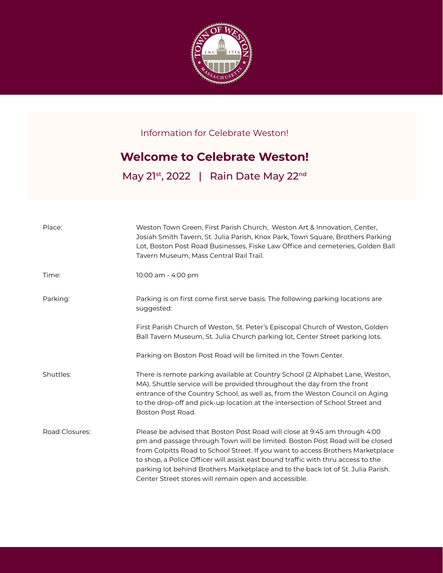

Information for Celebrate Weston!

## **Welcome to Celebrate Weston!**

May 21st, 2022 | Rain Date May 22nd

| Place:         | Weston Town Green, First Parish Church, Weston Art & Innovation, Center,<br>Josiah Smith Tavern, St. Julia Parish, Knox Park, Town Square, Brothers Parking<br>Lot, Boston Post Road Businesses, Fiske Law Office and cemeteries, Golden Ball<br>Tavern Museum, Mass Central Rail Trail.                                                                                                                                                                                       |
|----------------|--------------------------------------------------------------------------------------------------------------------------------------------------------------------------------------------------------------------------------------------------------------------------------------------------------------------------------------------------------------------------------------------------------------------------------------------------------------------------------|
| Time:          | 10:00 am - 4:00 pm                                                                                                                                                                                                                                                                                                                                                                                                                                                             |
| Parking:       | Parking is on first come first serve basis. The following parking locations are<br>suggested:                                                                                                                                                                                                                                                                                                                                                                                  |
|                | First Parish Church of Weston, St. Peter's Episcopal Church of Weston, Golden<br>Ball Tavern Museum, St. Julia Church parking lot, Center Street parking lots.                                                                                                                                                                                                                                                                                                                 |
|                | Parking on Boston Post Road will be limited in the Town Center.                                                                                                                                                                                                                                                                                                                                                                                                                |
| Shuttles:      | There is remote parking available at Country School (2 Alphabet Lane, Weston,<br>MA). Shuttle service will be provided throughout the day from the front<br>entrance of the Country School, as well as, from the Weston Council on Aging<br>to the drop-off and pick-up location at the intersection of School Street and<br>Boston Post Road.                                                                                                                                 |
| Road Closures: | Please be advised that Boston Post Road will close at 9:45 am through 4:00<br>pm and passage through Town will be limited. Boston Post Road will be closed<br>from Colpitts Road to School Street. If you want to access Brothers Marketplace<br>to shop, a Police Officer will assist east bound traffic with thru access to the<br>parking lot behind Brothers Marketplace and to the back lot of St. Julia Parish.<br>Center Street stores will remain open and accessible. |